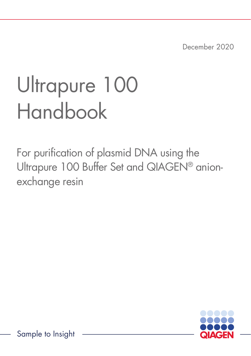December 2020

# Ultrapure 100 Handbook

For purification of plasmid DNA using the Ultrapure 100 Buffer Set and QIAGEN® anionexchange resin



Sample to Insight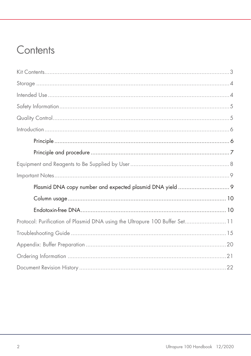### Contents

| Protocol: Purification of Plasmid DNA using the Ultrapure 100 Buffer Set 11 |  |
|-----------------------------------------------------------------------------|--|
|                                                                             |  |
|                                                                             |  |
|                                                                             |  |
|                                                                             |  |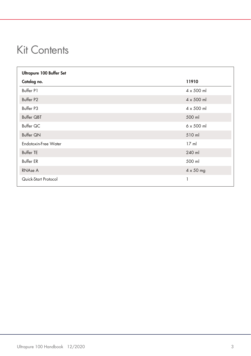# <span id="page-2-0"></span>Kit Contents

| <b>Ultrapure 100 Buffer Set</b> |                   |  |
|---------------------------------|-------------------|--|
| Catalog no.                     | 11910             |  |
| Buffer P1                       | $4 \times 500$ ml |  |
| Buffer P2                       | $4 \times 500$ ml |  |
| Buffer P3                       | $4 \times 500$ ml |  |
| Buffer QBT                      | 500 ml            |  |
| Buffer QC                       | $6 \times 500$ ml |  |
| <b>Buffer QN</b>                | 510 ml            |  |
| Endotoxin-Free Water            | $17$ ml           |  |
| <b>Buffer TE</b>                | 240 ml            |  |
| <b>Buffer ER</b>                | 500 ml            |  |
| RNAse A                         | $4 \times 50$ mg  |  |
| Quick-Start Protocol            | 1                 |  |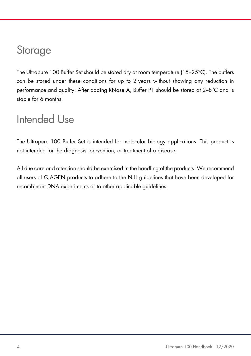### <span id="page-3-0"></span>**Storage**

The Ultrapure 100 Buffer Set should be stored dry at room temperature (15–25°C). The buffers can be stored under these conditions for up to 2 years without showing any reduction in performance and quality. After adding RNase A, Buffer P1 should be stored at 2–8°C and is stable for 6 months.

### <span id="page-3-1"></span>Intended Use

The Ultrapure 100 Buffer Set is intended for molecular biology applications. This product is not intended for the diagnosis, prevention, or treatment of a disease.

All due care and attention should be exercised in the handling of the products. We recommend all users of QIAGEN products to adhere to the NIH guidelines that have been developed for recombinant DNA experiments or to other applicable guidelines.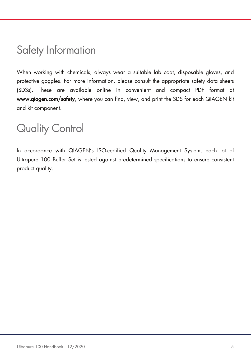# <span id="page-4-0"></span>Safety Information

When working with chemicals, always wear a suitable lab coat, disposable gloves, and protective goggles. For more information, please consult the appropriate safety data sheets (SDSs). These are available online in convenient and compact PDF format at www.qiagen.com/safety, where you can find, view, and print the SDS for each QIAGEN kit and kit component.

### <span id="page-4-1"></span>Quality Control

In accordance with QIAGEN's ISO-certified Quality Management System, each lot of Ultrapure 100 Buffer Set is tested against predetermined specifications to ensure consistent product quality.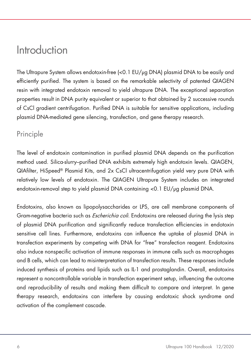### <span id="page-5-0"></span>Introduction

The Ultrapure System allows endotoxin-free (<0.1 EU/µg DNA) plasmid DNA to be easily and efficiently purified. The system is based on the remarkable selectivity of patented QIAGEN resin with integrated endotoxin removal to yield ultrapure DNA. The exceptional separation properties result in DNA purity equivalent or superior to that obtained by 2 successive rounds of CsCl gradient centrifugation. Purified DNA is suitable for sensitive applications, including plasmid DNA-mediated gene silencing, transfection, and gene therapy research.

### <span id="page-5-1"></span>Principle

The level of endotoxin contamination in purified plasmid DNA depends on the purification method used. Silica-slurry–purified DNA exhibits extremely high endotoxin levels. QIAGEN, QIAfilter, HiSpeed® Plasmid Kits, and 2x CsCl ultracentrifugation yield very pure DNA with relatively low levels of endotoxin. The QIAGEN Ultrapure System includes an integrated endotoxin-removal step to yield plasmid DNA containing <0.1 EU/µg plasmid DNA.

Endotoxins, also known as lipopolysaccharides or LPS, are cell membrane components of Gram-negative bacteria such as *Escherichia coli*. Endotoxins are released during the lysis step of plasmid DNA purification and significantly reduce transfection efficiencies in endotoxin sensitive cell lines. Furthermore, endotoxins can influence the uptake of plasmid DNA in transfection experiments by competing with DNA for "free" transfection reagent. Endotoxins also induce nonspecific activation of immune responses in immune cells such as macrophages and B cells, which can lead to misinterpretation of transfection results. These responses include induced synthesis of proteins and lipids such as IL-1 and prostaglandin. Overall, endotoxins represent a noncontrollable variable in transfection experiment setup, influencing the outcome and reproducibility of results and making them difficult to compare and interpret. In gene therapy research, endotoxins can interfere by causing endotoxic shock syndrome and activation of the complement cascade.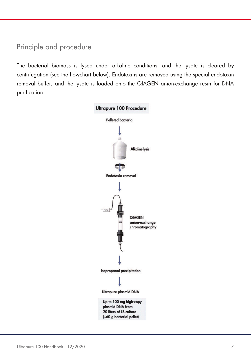### <span id="page-6-0"></span>Principle and procedure

The bacterial biomass is lysed under alkaline conditions, and the lysate is cleared by centrifugation (see the flowchart below). Endotoxins are removed using the special endotoxin removal buffer, and the lysate is loaded onto the QIAGEN anion-exchange resin for DNA purification.

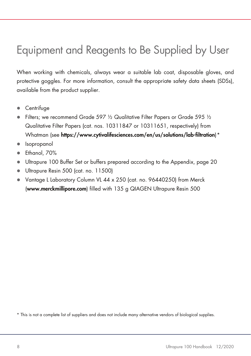# <span id="page-7-0"></span>Equipment and Reagents to Be Supplied by User

When working with chemicals, always wear a suitable lab coat, disposable gloves, and protective goggles. For more information, consult the appropriate safety data sheets (SDSs), available from the product supplier.

- **•** Centrifuge
- Filters; we recommend Grade 597  $\frac{1}{2}$  Qualitative Filter Papers or Grade 595  $\frac{1}{2}$ Qualitative Filter Papers (cat. nos. 10311847 or 10311651, respectively) from Whatman (see https://www.cytivalifesciences.com/en/us/solutions/lab-filtration)[\\*](#page-7-1)
- Isopropanol
- Ethanol, 70%
- Ultrapure 100 Buffer Set or buffers prepared according to the Appendix, page [20](#page-19-0)
- Ultrapure Resin 500 (cat. no. 11500)
- Vantage L Laboratory Column VL 44 x 250 (cat. no. 96440250) from Merck (www.merckmillipore.com) filled with 135 g QIAGEN Ultrapure Resin 500

<span id="page-7-1"></span>\* This is not a complete list of suppliers and does not include many alternative vendors of biological supplies.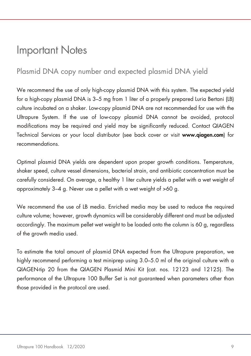### <span id="page-8-2"></span><span id="page-8-0"></span>Important Notes

### <span id="page-8-1"></span>Plasmid DNA copy number and expected plasmid DNA yield

We recommend the use of only high-copy plasmid DNA with this system. The expected yield for a high-copy plasmid DNA is 3–5 mg from 1 liter of a properly prepared Luria Bertani (LB) culture incubated on a shaker. Low-copy plasmid DNA are not recommended for use with the Ultrapure System. If the use of low-copy plasmid DNA cannot be avoided, protocol modifications may be required and yield may be significantly reduced. Contact QIAGEN Technical Services or your local distributor (see back cover or visit www.qiagen.com) for recommendations.

Optimal plasmid DNA yields are dependent upon proper growth conditions. Temperature, shaker speed, culture vessel dimensions, bacterial strain, and antibiotic concentration must be carefully considered. On average, a healthy 1 liter culture yields a pellet with a wet weight of approximately 3–4 g. Never use a pellet with a wet weight of >60 g.

We recommend the use of LB media. Enriched media may be used to reduce the required culture volume; however, growth dynamics will be considerably different and must be adjusted accordingly. The maximum pellet wet weight to be loaded onto the column is 60 g, regardless of the growth media used.

To estimate the total amount of plasmid DNA expected from the Ultrapure preparation, we highly recommend performing a test miniprep using 3.0–5.0 ml of the original culture with a QIAGEN-tip 20 from the QIAGEN Plasmid Mini Kit (cat. nos. 12123 and 12125). The performance of the Ultrapure 100 Buffer Set is not guaranteed when parameters other than those provided in the protocol are used.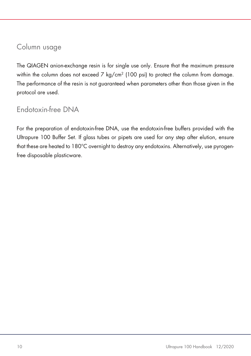### Column usage

The QIAGEN anion-exchange resin is for single use only. Ensure that the maximum pressure within the column does not exceed 7 kg/cm<sup>2</sup> (100 psi) to protect the column from damage. The performance of the resin is not guaranteed when parameters other than those given in the protocol are used.

### <span id="page-9-0"></span>Endotoxin-free DNA

For the preparation of endotoxin-free DNA, use the endotoxin-free buffers provided with the Ultrapure 100 Buffer Set. If glass tubes or pipets are used for any step after elution, ensure that these are heated to 180°C overnight to destroy any endotoxins. Alternatively, use pyrogenfree disposable plasticware.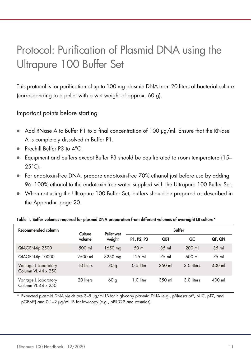# <span id="page-10-0"></span>Protocol: Purification of Plasmid DNA using the Ultrapure 100 Buffer Set

This protocol is for purification of up to 100 mg plasmid DNA from 20 liters of bacterial culture (corresponding to a pellet with a wet weight of approx. 60 g).

Important points before starting

- $\bullet$  Add RNase A to Buffer P1 to a final concentration of 100  $\mu$ g/ml. Ensure that the RNase A is completely dissolved in Buffer P1.
- Prechill Buffer P3 to 4°C.
- Equipment and buffers except Buffer P3 should be equilibrated to room temperature (15– 25°C).
- For endotoxin-free DNA, prepare endotoxin-free 70% ethanol just before use by adding 96–100% ethanol to the endotoxin-free water supplied with the Ultrapure 100 Buffer Set.
- When not using the Ultrapure 100 Buffer Set, buffers should be prepared as described in the Appendix, page [20.](#page-19-0)

| Recommended column                         | Culture   | Pellet wet      | <b>Buffer</b> |            |            |        |
|--------------------------------------------|-----------|-----------------|---------------|------------|------------|--------|
|                                            | volume    | weight          | P1, P2, P3    | <b>QBT</b> | QC         | QF, QN |
| QIAGEN-tip 2500                            | 500 ml    | 1650 mg         | 50 ml         | $35$ m     | $200$ ml   | $35$ m |
| QIAGEN-tip 10000                           | 2500 ml   | 8250 mg         | 125 ml        | 75 ml      | 600 ml     | 75 ml  |
| Vantage L Laboratory<br>Column VL 44 x 250 | 10 liters | 30 <sub>g</sub> | $0.5$ liter   | 350 ml     | 3.0 liters | 400 ml |
| Vantage L Laboratory<br>Column VL 44 x 250 | 20 liters | 60 <sub>g</sub> | 1.0 liter     | 350 ml     | 3.0 liters | 400 ml |

#### Table 1. Buffer volumes required for plasmid DNA preparation from different volumes of overnight LB culture\*

\* Expected plasmid DNA yields are 3–5 µg/ml LB for high-copy plasmid DNA (e.g., pBluescript®, pUC, pTZ, and pGEM®) and 0.1–2 µg/ml LB for low-copy (e.g., pBR322 and cosmids).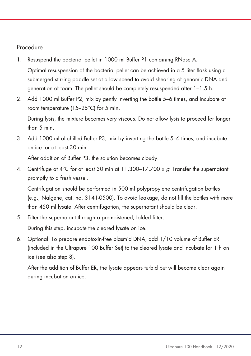### Procedure

1. Resuspend the bacterial pellet in 1000 ml Buffer P1 containing RNase A.

Optimal resuspension of the bacterial pellet can be achieved in a 5 liter flask using a submerged stirring paddle set at a low speed to avoid shearing of genomic DNA and generation of foam. The pellet should be completely resuspended after 1–1.5 h.

2. Add 1000 ml Buffer P2, mix by gently inverting the bottle 5–6 times, and incubate at room temperature (15–25°C) for 5 min.

During lysis, the mixture becomes very viscous. Do not allow lysis to proceed for longer than 5 min.

3. Add 1000 ml of chilled Buffer P3, mix by inverting the bottle 5–6 times, and incubate on ice for at least 30 min.

After addition of Buffer P3, the solution becomes cloudy.

4. Centrifuge at  $4^{\circ}$ C for at least 30 min at 11.300–17.700 x  $\alpha$ . Transfer the supernatant promptly to a fresh vessel.

Centrifugation should be performed in 500 ml polypropylene centrifugation bottles (e.g., Nalgene, cat. no. 3141-0500). To avoid leakage, do not fill the bottles with more than 450 ml lysate. After centrifugation, the supernatant should be clear.

5. Filter the supernatant through a premoistened, folded filter.

During this step, incubate the cleared lysate on ice.

6. Optional: To prepare endotoxin-free plasmid DNA, add 1/10 volume of Buffer ER (included in the Ultrapure 100 Buffer Set) to the cleared lysate and incubate for 1 h on ice (see also step 8).

After the addition of Buffer ER, the lysate appears turbid but will become clear again during incubation on ice.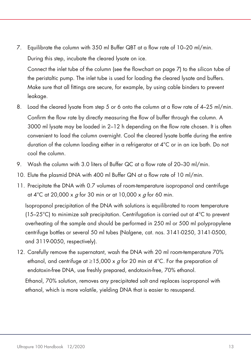7. Equilibrate the column with 350 ml Buffer QBT at a flow rate of 10–20 ml/min. During this step, incubate the cleared lysate on ice.

Connect the inlet tube of the column (see the flowchart on page [7\)](#page-6-0) to the silicon tube of the peristaltic pump. The inlet tube is used for loading the cleared lysate and buffers. Make sure that all fittings are secure, for example, by using cable binders to prevent leakage.

- 8. Load the cleared lysate from step 5 or 6 onto the column at a flow rate of 4–25 ml/min. Confirm the flow rate by directly measuring the flow of buffer through the column. A 3000 ml lysate may be loaded in 2–12 h depending on the flow rate chosen. It is often convenient to load the column overnight. Cool the cleared lysate bottle during the entire duration of the column loading either in a refrigerator at 4°C or in an ice bath. Do not cool the column.
- 9. Wash the column with 3.0 liters of Buffer QC at a flow rate of 20–30 ml/min.
- 10. Elute the plasmid DNA with 400 ml Buffer QN at a flow rate of 10 ml/min.
- 11. Precipitate the DNA with 0.7 volumes of room-temperature isopropanol and centrifuge at 4<sup>°</sup>C at 20,000 x  $q$  for 30 min or at 10,000 x  $q$  for 60 min.

Isopropanol precipitation of the DNA with solutions is equilibrated to room temperature (15–25°C) to minimize salt precipitation. Centrifugation is carried out at 4°C to prevent overheating of the sample and should be performed in 250 ml or 500 ml polypropylene centrifuge bottles or several 50 ml tubes (Nalgene, cat. nos. 3141-0250, 3141-0500, and 3119-0050, respectively).

12. Carefully remove the supernatant, wash the DNA with 20 ml room-temperature 70% ethanol, and centrifuge at  $\geq$ 15,000 x g for 20 min at 4°C. For the preparation of endotoxin-free DNA, use freshly prepared, endotoxin-free, 70% ethanol.

Ethanol, 70% solution, removes any precipitated salt and replaces isopropanol with ethanol, which is more volatile, yielding DNA that is easier to resuspend.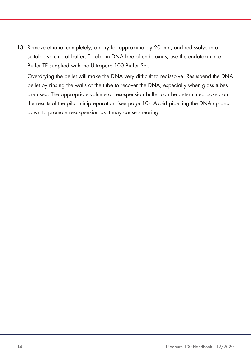13. Remove ethanol completely, air-dry for approximately 20 min, and redissolve in a suitable volume of buffer. To obtain DNA free of endotoxins, use the endotoxin-free Buffer TE supplied with the Ultrapure 100 Buffer Set.

Overdrying the pellet will make the DNA very difficult to redissolve. Resuspend the DNA pellet by rinsing the walls of the tube to recover the DNA, especially when glass tubes are used. The appropriate volume of resuspension buffer can be determined based on the results of the pilot minipreparation (see page [10\)](#page-9-0). Avoid pipetting the DNA up and down to promote resuspension as it may cause shearing.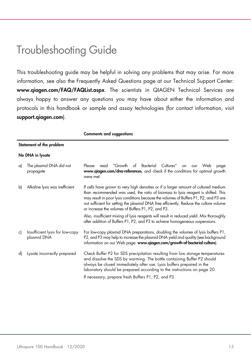### <span id="page-14-0"></span>Troubleshooting Guide

This troubleshooting guide may be helpful in solving any problems that may arise. For more information, see also the Frequently Asked Questions page at our Technical Support Center: www.qiagen.com/FAQ/FAQList.aspx. The scientists in QIAGEN Technical Services are always happy to answer any questions you may have about either the information and protocols in this handbook or sample and assay technologies (for contact information, visit support.giagen.com).

Comments and suggestions

#### Statement of the problem

#### No DNA in lysate

| a) | The plasmid DNA did not<br>propagate           | Please read "Growth of Bacterial Cultures"<br>Web<br>on our<br>page<br>www.giagen.com/dna-references, and check if the conditions for optimal growth<br>were met.                                                                                                                                                                                                                                                 |
|----|------------------------------------------------|-------------------------------------------------------------------------------------------------------------------------------------------------------------------------------------------------------------------------------------------------------------------------------------------------------------------------------------------------------------------------------------------------------------------|
| b) | Alkaline lysis was inefficient                 | If cells have grown to very high densities or if a larger amount of cultured medium<br>than recommended was used, the ratio of biomass to lysis reagent is shifted. This<br>may result in poor lysis conditions because the volumes of Buffers P1, P2, and P3 are<br>not sufficient for setting the plasmid DNA free efficiently. Reduce the culture volume<br>or increase the volumes of Buffers P1, P2, and P3. |
|    |                                                | Also, insufficient mixing of lysis reagents will result in reduced yield. Mix thoroughly<br>after addition of Buffers P1, P2, and P3 to achieve homogeneous suspensions.                                                                                                                                                                                                                                          |
| c) | Insufficient lysis for low-copy<br>plasmid DNA | For low-copy plasmid DNA preparations, doubling the volumes of lysis buffers P1,<br>P2, and P3 may help to increase the plasmid DNA yield and quality (see background<br>information on our Web page: www.qiagen.com/growth-of-bacterial-culture).                                                                                                                                                                |
| d) | Lysate incorrectly prepared                    | Check Buffer P2 for SDS precipitation resulting from low storage temperatures<br>and dissolve the SDS by warming. The bottle containing Buffer P2 should<br>always be closed immediately after use. Lysis buffers prepared in the<br>laboratory should be prepared according to the instructions on page 20.                                                                                                      |
|    |                                                | If necessary, prepare fresh Buffers P1, P2, and P3.                                                                                                                                                                                                                                                                                                                                                               |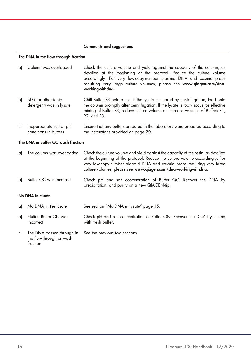#### The DNA in the flow-through fraction

| a) | Column was overloaded                             | Check the culture volume and yield against the capacity of the column, as<br>detailed at the beginning of the protocol. Reduce the culture volume<br>accordingly. For very low-copy-number plasmid DNA and cosmid preps<br>requiring very large culture volumes, please see www.qiagen.com/dna-<br>workingwithdna. |
|----|---------------------------------------------------|--------------------------------------------------------------------------------------------------------------------------------------------------------------------------------------------------------------------------------------------------------------------------------------------------------------------|
| bì | SDS (or other ionic<br>detergent) was in lysate   | Chill Buffer P3 before use. If the lysate is cleared by centrifugation, load onto<br>the column promptly after centrifugation. If the lysate is too viscous for effective<br>mixing of Buffer P3, reduce culture volume or increase volumes of Buffers P1,<br>P2, and P3.                                          |
| c) | Inappropriate salt or pH<br>conditions in buffers | Ensure that any buffers prepared in the laboratory were prepared according to<br>the instructions provided on page 20.                                                                                                                                                                                             |

#### The DNA in Buffer QC wash fraction

| a) | The column was overloaded          | Check the culture volume and yield against the capacity of the resin, as detailed<br>at the beginning of the protocol. Reduce the culture volume accordingly. For<br>very low-copy-number plasmid DNA and cosmid preps requiring very large<br>culture volumes, please see www.qiagen.com/dna-workingwithdna. |  |
|----|------------------------------------|---------------------------------------------------------------------------------------------------------------------------------------------------------------------------------------------------------------------------------------------------------------------------------------------------------------|--|
| bl | Buffer QC was incorrect            | Check pH and salt concentration of Buffer QC. Recover the DNA by<br>precipitation, and purify on a new QIAGEN-tip.                                                                                                                                                                                            |  |
|    | No DNA in eluate                   |                                                                                                                                                                                                                                                                                                               |  |
| a) | No DNA in the lysate               | See section "No DNA in lysate" page 15.                                                                                                                                                                                                                                                                       |  |
| b) | Elution Buffer QN was<br>incorrect | Check pH and salt concentration of Buffer QN. Recover the DNA by eluting<br>with fresh buffer.                                                                                                                                                                                                                |  |

c) The DNA passed through in the flow-through or wash fraction See the previous two sections.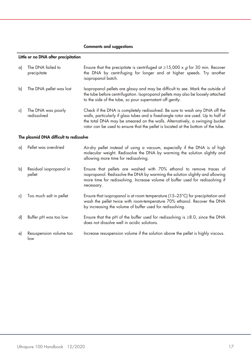#### Little or no DNA after precipitation

| a) | The DNA failed to<br>precipitate  | Ensure that the precipitate is centrifuged at $\geq$ 15,000 x g for 30 min. Recover<br>the DNA by centrifuging for longer and at higher speeds. Try another<br>isopropanol batch.                                                                |
|----|-----------------------------------|--------------------------------------------------------------------------------------------------------------------------------------------------------------------------------------------------------------------------------------------------|
| bì | The DNA pellet was lost           | Isopropanol pellets are glassy and may be difficult to see. Mark the outside of<br>the tube before centrifugation. Isopropanol pellets may also be loosely attached<br>to the side of the tube, so pour supernatant off gently.                  |
| c) | The DNA was poorly<br>redissolved | Check if the DNA is completely redissolved. Be sure to wash any DNA off the<br>walls, particularly if glass tubes and a fixed-angle rotor are used. Up to half of<br>the total DNA may be smeared on the walls. Alternatively, a swinging bucket |

rotor can be used to ensure that the pellet is located at the bottom of the tube.

#### The plasmid DNA difficult to redissolve

| a) | Pellet was overdried              | Air-dry pellet instead of using a vacuum, especially if the DNA is of high<br>molecular weight. Redissolve the DNA by warming the solution slightly and<br>allowing more time for redissolving.                                                      |
|----|-----------------------------------|------------------------------------------------------------------------------------------------------------------------------------------------------------------------------------------------------------------------------------------------------|
| b) | Residual isopropanol in<br>pellet | Ensure that pellets are washed with 70% ethanol to remove traces of<br>isopropanol. Redissolve the DNA by warming the solution slightly and allowing<br>more time for redissolving. Increase volume of buffer used for redissolving if<br>necessary. |
| c) | Too much salt in pellet           | Ensure that isopropanol is at room temperature (15–25°C) for precipitation and<br>wash the pellet twice with room-temperature 70% ethanol. Recover the DNA<br>by increasing the volume of buffer used for redissolving.                              |
| d) | Buffer pH was too low             | Ensure that the pH of the buffer used for redissolving is $\geq 8.0$ , since the DNA<br>does not dissolve well in acidic solutions.                                                                                                                  |
| e) | Resuspension volume too<br>low    | Increase resuspension volume if the solution above the pellet is highly viscous.                                                                                                                                                                     |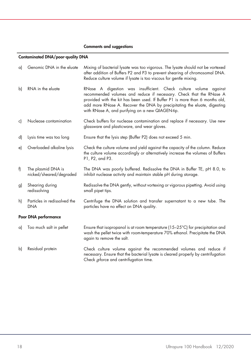#### Contaminated DNA/poor-quality DNA

| a) | Genomic DNA in the eluate                     | Mixing of bacterial lysate was too vigorous. The lysate should not be vortexed<br>after addition of Buffers P2 and P3 to prevent shearing of chromosomal DNA.<br>Reduce culture volume if lysate is too viscous for gentle mixing.                                                                                                                      |
|----|-----------------------------------------------|---------------------------------------------------------------------------------------------------------------------------------------------------------------------------------------------------------------------------------------------------------------------------------------------------------------------------------------------------------|
| b) | RNA in the eluate                             | RNase A digestion was insufficient. Check culture volume against<br>recommended volumes and reduce if necessary. Check that the RNase A<br>provided with the kit has been used. If Buffer P1 is more than 6 months old,<br>add more RNase A. Recover the DNA by precipitating the eluate, digesting<br>with RNase A, and purifying on a new QIAGEN-tip. |
| c) | Nuclease contamination                        | Check buffers for nuclease contamination and replace if necessary. Use new<br>glassware and plasticware, and wear gloves.                                                                                                                                                                                                                               |
| d) | Lysis time was too long                       | Ensure that the lysis step (Buffer P2) does not exceed 5 min.                                                                                                                                                                                                                                                                                           |
| e) | Overloaded alkaline lysis                     | Check the culture volume and yield against the capacity of the column. Reduce<br>the culture volume accordingly or alternatively increase the volumes of Buffers<br>P1, P2, and P3.                                                                                                                                                                     |
| f) | The plasmid DNA is<br>nicked/sheared/degraded | The DNA was poorly buffered. Redissolve the DNA in Buffer TE, pH 8.0, to<br>inhibit nuclease activity and maintain stable pH during storage.                                                                                                                                                                                                            |
| g) | Shearing during<br>redissolving               | Redissolve the DNA gently, without vortexing or vigorous pipetting. Avoid using<br>small pipet tips.                                                                                                                                                                                                                                                    |
| h) | Particles in redissolved the<br><b>DNA</b>    | Centrifuge the DNA solution and transfer supernatant to a new tube. The<br>particles have no effect on DNA quality.                                                                                                                                                                                                                                     |
|    | Poor DNA performance                          |                                                                                                                                                                                                                                                                                                                                                         |
| a) | Too much salt in pellet                       | Ensure that isopropanol is at room temperature $(15-25^{\circ}C)$ for precipitation and<br>wash the pellet twice with room-temperature 70% ethanol. Precipitate the DNA<br>again to remove the salt.                                                                                                                                                    |
| b) | Residual protein                              | Check culture volume against the recommended volumes and reduce if                                                                                                                                                                                                                                                                                      |

Check g-force and centrifugation time.

necessary. Ensure that the bacterial lysate is cleared properly by centrifugation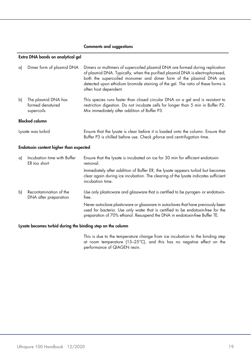#### Extra DNA bands on analytical gel

| a) | Dimer form of plasmid DNA                             | Dimers or multimers of supercoiled plasmid DNA are formed during replication<br>of plasmid DNA. Typically, when the purified plasmid DNA is electrophoresed,<br>both the supercoiled monomer and dimer form of the plasmid DNA are<br>detected upon ethidium bromide staining of the gel. The ratio of these forms is<br>often host dependent. |
|----|-------------------------------------------------------|------------------------------------------------------------------------------------------------------------------------------------------------------------------------------------------------------------------------------------------------------------------------------------------------------------------------------------------------|
| b) | The plasmid DNA has<br>formed denatured<br>supercoils | This species runs faster than closed circular DNA on a gel and is resistant to<br>restriction digestion. Do not incubate cells for longer than 5 min in Buffer P2.<br>Mix immediately after addition of Buffer P3.                                                                                                                             |
|    | <b>Blocked column</b>                                 |                                                                                                                                                                                                                                                                                                                                                |
|    | Lysate was turbid                                     | Ensure that the lysate is clear before it is loaded onto the column. Ensure that<br>Buffer P3 is chilled before use. Check g-force and centrifugation time.                                                                                                                                                                                    |
|    | Endotoxin content higher than expected                |                                                                                                                                                                                                                                                                                                                                                |
| a) | Incubation time with Buffer<br>ER too short           | Ensure that the lysate is incubated on ice for 30 min for efficient endotoxin<br>removal.                                                                                                                                                                                                                                                      |
|    |                                                       | Immediately after addition of Buffer ER, the lysate appears turbid but becomes<br>clear again during ice incubation. The clearing of the lysate indicates sufficient<br>incubation time.                                                                                                                                                       |
| b) | Recontamination of the<br>DNA after preparation       | Use only plasticware and glassware that is certified to be pyrogen- or endotoxin-<br>tree.                                                                                                                                                                                                                                                     |
|    |                                                       | Never autoclave plasticware or glassware in autoclaves that have previously been<br>used for bacteria. Use only water that is certified to be endotoxin-free for the                                                                                                                                                                           |

#### Lysate becomes turbid during the binding step on the column

This is due to the temperature change from ice incubation to the binding step at room temperature (15-25°C), and this has no negative effect on the performance of QIAGEN resin.

preparation of 70% ethanol. Resuspend the DNA in endotoxin-free Buffer TE.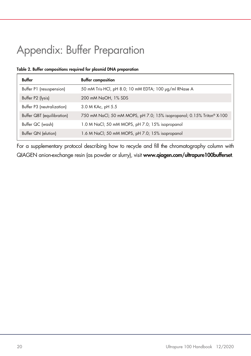# <span id="page-19-0"></span>Appendix: Buffer Preparation

#### Table 2. Buffer compositions required for plasmid DNA preparation

| Buffer                     | <b>Buffer composition</b>                                             |
|----------------------------|-----------------------------------------------------------------------|
| Buffer P1 (resuspension)   | 50 mM Tris HCl, pH 8.0; 10 mM EDTA; 100 µg/ml RNase A                 |
| Buffer P2 (lysis)          | 200 mM NaOH, 1% SDS                                                   |
| Buffer P3 (neutralization) | 3.0 M KAc, pH 5.5                                                     |
| Buffer QBT (equilibration) | 750 mM NaCl; 50 mM MOPS, pH 7.0; 15% isopropanol; 0.15% Triton® X-100 |
| Buffer QC (wash)           | 1.0 M NaCl; 50 mM MOPS, pH 7.0; 15% isopropanol                       |
| Buffer QN (elution)        | 1.6 M NaCl; 50 mM MOPS, pH 7.0; 15% isopropanol                       |

For a supplementary protocol describing how to recycle and fill the chromatography column with QIAGEN anion-exchange resin (as powder or slurry), visit www.qiagen.com/ultrapure100bufferset.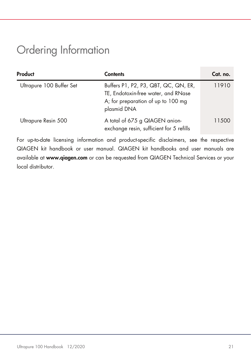# <span id="page-20-0"></span>Ordering Information

| Product                  | <b>Contents</b>                                                                                                                  | Cat. no. |
|--------------------------|----------------------------------------------------------------------------------------------------------------------------------|----------|
| Ultrapure 100 Buffer Set | Buffers P1, P2, P3, QBT, QC, QN, ER,<br>TE, Endotoxin-free water, and RNase<br>A; for preparation of up to 100 mg<br>plasmid DNA | 11910    |
| Ultrapure Resin 500      | A total of 675 g QIAGEN anion-<br>exchange resin, sufficient for 5 refills                                                       | 11500    |

For up-to-date licensing information and product-specific disclaimers, see the respective QIAGEN kit handbook or user manual. QIAGEN kit handbooks and user manuals are available at www.qiagen.com or can be requested from QIAGEN Technical Services or your local distributor.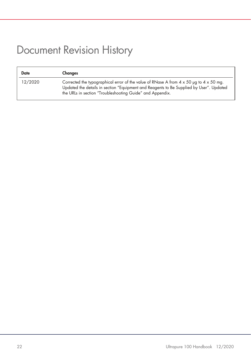# <span id="page-21-0"></span>Document Revision History

| <b>Date</b> | Changes                                                                                                                                                                                                                                                      |
|-------------|--------------------------------------------------------------------------------------------------------------------------------------------------------------------------------------------------------------------------------------------------------------|
| 12/2020     | Corrected the typographical error of the value of RNase A from $4 \times 50$ ug to $4 \times 50$ mg.<br>Updated the details in section "Equipment and Reagents to Be Supplied by User". Updated<br>the URLs in section "Troubleshooting Guide" and Appendix. |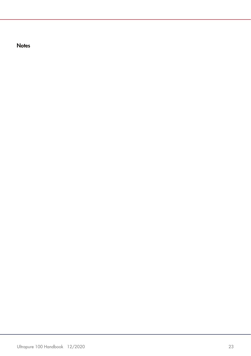**Notes**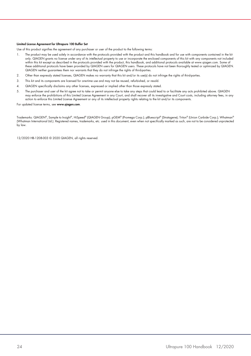#### Limited License Agreement for Ultrapure 100 Buffer Set

Use of this product signifies the agreement of any purchaser or user of the product to the following terms:

- 1. The product may be used solely in accordance with the protocols provided with the product and this handbook and for use with components contained in the kit only. QIAGEN grants no license under any of its intellectual property to use or incorporate the enclosed components of this kit with any components not included within this kit except as described in the protocols provided with the product, this handbook, and additional protocols available at www.qiagen.com. Some of these additional protocols have been provided by QIAGEN users for QIAGEN users. These protocols have not been thoroughly tested or optimized by QIAGEN. QIAGEN neither guarantees them nor warrants that they do not infringe the rights of third-parties.
- 2. Other than expressly stated licenses, QIAGEN makes no warranty that this kit and/or its use(s) do not infringe the rights of third-parties.
- 3. This kit and its components are licensed for one-time use and may not be reused, refurbished, or resold.
- 4. QIAGEN specifically disclaims any other licenses, expressed or implied other than those expressly stated.
- 5. The purchaser and user of the kit agree not to take or permit anyone else to take any steps that could lead to or facilitate any acts prohibited above. QIAGEN may enforce the prohibitions of this Limited License Agreement in any Court, and shall recover all its investigative and Court costs, including attorney fees, in any action to enforce this Limited License Agreement or any of its intellectual property rights relating to the kit and/or its components.

For updated license terms, see www.qiagen.com.

Trademarks: QIAGEN®, Sample to Insight®, HiSpeed® (QIAGEN Group); pGEM® (Promega Corp.); pBluescript® (Stratagene); Triton® (Union Carbide Corp.); Whatman® (Whatman International Ltd.). Registered names, trademarks, etc. used in this document, even when not specifically marked as such, are not to be considered unprotected by law.

12/2020 HB-1208-003 © 2020 QIAGEN, all rights reserved.